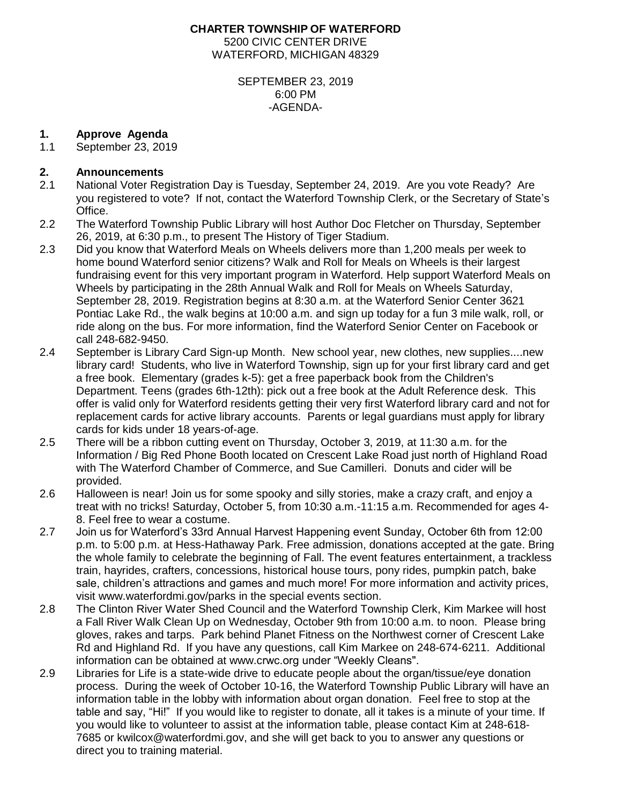### **CHARTER TOWNSHIP OF WATERFORD** 5200 CIVIC CENTER DRIVE WATERFORD, MICHIGAN 48329

#### SEPTEMBER 23, 2019 6:00 PM -AGENDA-

# **1. Approve Agenda**

1.1 September 23, 2019

# **2. Announcements**

- 2.1 National Voter Registration Day is Tuesday, September 24, 2019. Are you vote Ready? Are you registered to vote? If not, contact the Waterford Township Clerk, or the Secretary of State's Office.
- 2.2 The Waterford Township Public Library will host Author Doc Fletcher on Thursday, September 26, 2019, at 6:30 p.m., to present The History of Tiger Stadium.
- 2.3 Did you know that Waterford Meals on Wheels delivers more than 1,200 meals per week to home bound Waterford senior citizens? Walk and Roll for Meals on Wheels is their largest fundraising event for this very important program in Waterford. Help support Waterford Meals on Wheels by participating in the 28th Annual Walk and Roll for Meals on Wheels Saturday, September 28, 2019. Registration begins at 8:30 a.m. at the Waterford Senior Center 3621 Pontiac Lake Rd., the walk begins at 10:00 a.m. and sign up today for a fun 3 mile walk, roll, or ride along on the bus. For more information, find the Waterford Senior Center on Facebook or call 248-682-9450.
- 2.4 September is Library Card Sign-up Month. New school year, new clothes, new supplies....new library card! Students, who live in Waterford Township, sign up for your first library card and get a free book. Elementary (grades k-5): get a free paperback book from the Children's Department. Teens (grades 6th-12th): pick out a free book at the Adult Reference desk. This offer is valid only for Waterford residents getting their very first Waterford library card and not for replacement cards for active library accounts. Parents or legal guardians must apply for library cards for kids under 18 years-of-age.
- 2.5 There will be a ribbon cutting event on Thursday, October 3, 2019, at 11:30 a.m. for the Information / Big Red Phone Booth located on Crescent Lake Road just north of Highland Road with The Waterford Chamber of Commerce, and Sue Camilleri. Donuts and cider will be provided.
- 2.6 Halloween is near! Join us for some spooky and silly stories, make a crazy craft, and enjoy a treat with no tricks! Saturday, October 5, from 10:30 a.m.-11:15 a.m. Recommended for ages 4- 8. Feel free to wear a costume.
- 2.7 Join us for Waterford's 33rd Annual Harvest Happening event Sunday, October 6th from 12:00 p.m. to 5:00 p.m. at Hess-Hathaway Park. Free admission, donations accepted at the gate. Bring the whole family to celebrate the beginning of Fall. The event features entertainment, a trackless train, hayrides, crafters, concessions, historical house tours, pony rides, pumpkin patch, bake sale, children's attractions and games and much more! For more information and activity prices, visit www.waterfordmi.gov/parks in the special events section.
- 2.8 The Clinton River Water Shed Council and the Waterford Township Clerk, Kim Markee will host a Fall River Walk Clean Up on Wednesday, October 9th from 10:00 a.m. to noon. Please bring gloves, rakes and tarps. Park behind Planet Fitness on the Northwest corner of Crescent Lake Rd and Highland Rd. If you have any questions, call Kim Markee on 248-674-6211. Additional information can be obtained at www.crwc.org under "Weekly Cleans".
- 2.9 Libraries for Life is a state-wide drive to educate people about the organ/tissue/eye donation process. During the week of October 10-16, the Waterford Township Public Library will have an information table in the lobby with information about organ donation. Feel free to stop at the table and say, "Hi!" If you would like to register to donate, all it takes is a minute of your time. If you would like to volunteer to assist at the information table, please contact Kim at 248-618- 7685 or kwilcox@waterfordmi.gov, and she will get back to you to answer any questions or direct you to training material.